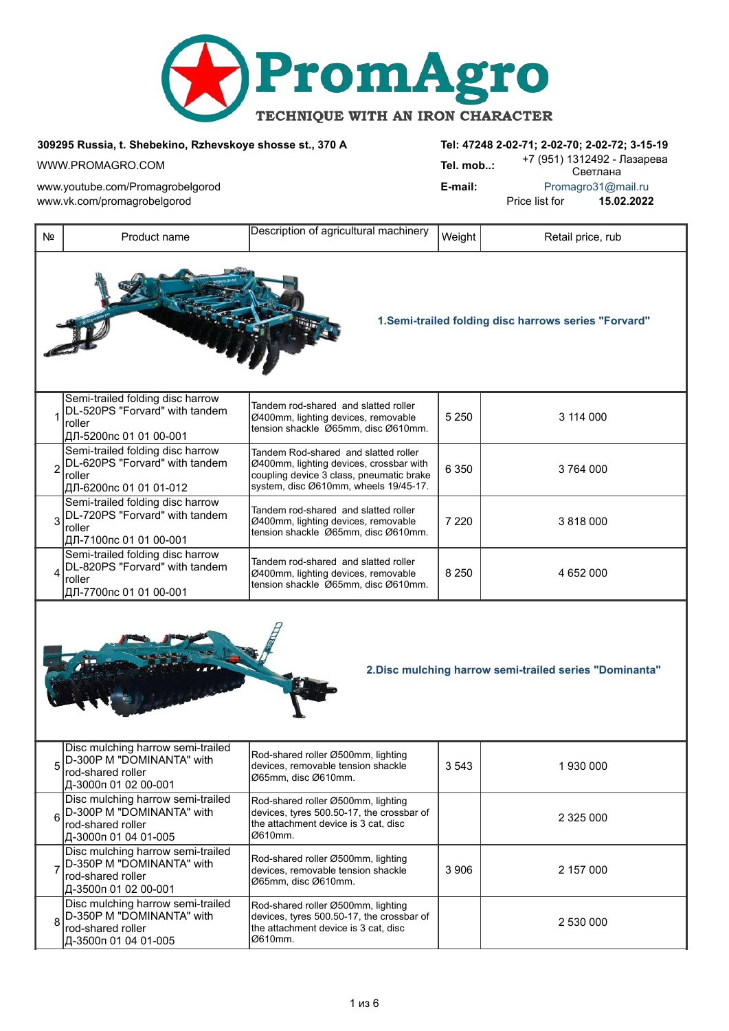

*309295 Russia, t. Shebekino, Rzhevskoye shosse st., 370 А Tel: 47248 2-02-71; 2-02-70; 2-02-72; 3-15-19*

www.youtube.com/Promagrobelgorod *E-mail:* Promagro31@mail.ru www.vk.com/promagrobelgorod **Price list for 15.02.2022** 

WWW.PROMAGRO.COM *Tel. mob..:* +7 (951) 1312492 - Лазарева Светлана

| Nº                                                      | Product name                                                                                                | Description of agricultural machinery                                                                                                                                | Weight  | Retail price, rub                                    |  |
|---------------------------------------------------------|-------------------------------------------------------------------------------------------------------------|----------------------------------------------------------------------------------------------------------------------------------------------------------------------|---------|------------------------------------------------------|--|
|                                                         |                                                                                                             |                                                                                                                                                                      |         | 1.Semi-trailed folding disc harrows series "Forvard" |  |
| 1                                                       | Semi-trailed folding disc harrow<br>DL-520PS "Forvard" with tandem<br>roller<br>ДЛ-5200пс 01 01 00-001      | Tandem rod-shared and slatted roller<br>Ø400mm, lighting devices, removable<br>tension shackle Ø65mm, disc Ø610mm.                                                   | 5 2 5 0 | 3 114 000                                            |  |
| $\overline{2}$                                          | Semi-trailed folding disc harrow<br>DL-620PS "Forvard" with tandem<br>roller<br>ДЛ-6200пс 01 01 01-012      | Tandem Rod-shared and slatted roller<br>Ø400mm, lighting devices, crossbar with<br>coupling device 3 class, pneumatic brake<br>system, disc Ø610mm, wheels 19/45-17. | 6 3 5 0 | 3764000                                              |  |
| 3                                                       | Semi-trailed folding disc harrow<br>DL-720PS "Forvard" with tandem<br>roller<br>ДЛ-7100пс 01 01 00-001      | Tandem rod-shared and slatted roller<br>Ø400mm, lighting devices, removable<br>tension shackle Ø65mm, disc Ø610mm.                                                   | 7 2 2 0 | 3 818 000                                            |  |
| 4                                                       | Semi-trailed folding disc harrow<br>DL-820PS "Forvard" with tandem<br>roller<br>ДЛ-7700пс 01 01 00-001      | Tandem rod-shared and slatted roller<br>Ø400mm, lighting devices, removable<br>tension shackle Ø65mm, disc Ø610mm.                                                   | 8 2 5 0 | 4 652 000                                            |  |
| 2. Disc mulching harrow semi-trailed series "Dominanta" |                                                                                                             |                                                                                                                                                                      |         |                                                      |  |
| 5                                                       | Disc mulching harrow semi-trailed<br>D-300P M "DOMINANTA" with<br>rod-shared roller<br>Д-3000п 01 02 00-001 | Rod-shared roller Ø500mm, lighting<br>devices, removable tension shackle<br>Ø65mm, disc Ø610mm.                                                                      | 3 5 4 3 | 1930000                                              |  |
| 6                                                       | Disc mulching harrow semi-trailed<br>D-300P M "DOMINANTA" with<br>rod-shared roller<br>Д-3000п 01 04 01-005 | Rod-shared roller Ø500mm, lighting<br>devices, tyres 500.50-17, the crossbar of<br>the attachment device is 3 cat, disc<br>Ø610mm.                                   |         | 2 325 000                                            |  |
| 7                                                       | Disc mulching harrow semi-trailed<br>D-350P M "DOMINANTA" with<br>rod-shared roller<br>Д-3500п 01 02 00-001 | Rod-shared roller Ø500mm, lighting<br>devices, removable tension shackle<br>Ø65mm, disc Ø610mm.                                                                      | 3 906   | 2 157 000                                            |  |
| 8                                                       | Disc mulching harrow semi-trailed<br>D-350P M "DOMINANTA" with<br>rod-shared roller<br>Д-3500п 01 04 01-005 | Rod-shared roller Ø500mm, lighting<br>devices, tyres 500.50-17, the crossbar of<br>the attachment device is 3 cat, disc<br>Ø610mm.                                   |         | 2 530 000                                            |  |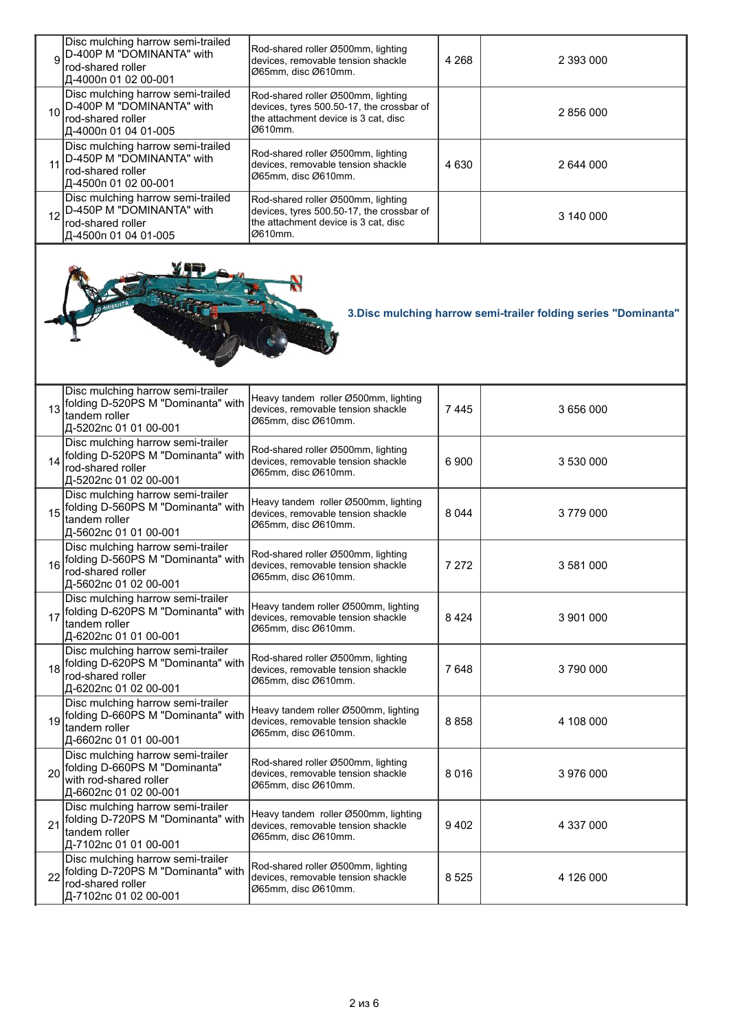| 9  | Disc mulching harrow semi-trailed<br>D-400P M "DOMINANTA" with<br>rod-shared roller<br>Д-4000п 01 02 00-001            | Rod-shared roller Ø500mm, lighting<br>devices, removable tension shackle<br>Ø65mm, disc Ø610mm.                                    | 4 2 6 8 | 2 393 000 |  |
|----|------------------------------------------------------------------------------------------------------------------------|------------------------------------------------------------------------------------------------------------------------------------|---------|-----------|--|
| 10 | Disc mulching harrow semi-trailed<br>D-400P M "DOMINANTA" with<br>rod-shared roller<br>Д-4000п 01 04 01-005            | Rod-shared roller Ø500mm, lighting<br>devices, tyres 500.50-17, the crossbar of<br>the attachment device is 3 cat, disc<br>Ø610mm. |         | 2 856 000 |  |
| 11 | Disc mulching harrow semi-trailed<br>D-450P M "DOMINANTA" with<br>rod-shared roller<br>Д-4500п 01 02 00-001            | Rod-shared roller Ø500mm, lighting<br>devices, removable tension shackle<br>Ø65mm, disc Ø610mm.                                    | 4 6 3 0 | 2 644 000 |  |
| 12 | Disc mulching harrow semi-trailed<br>D-450P M "DOMINANTA" with<br>rod-shared roller<br>Д-4500п 01 04 01-005            | Rod-shared roller Ø500mm, lighting<br>devices, tyres 500.50-17, the crossbar of<br>the attachment device is 3 cat, disc<br>Ø610mm. |         | 3 140 000 |  |
|    | 3. Disc mulching harrow semi-trailer folding series "Dominanta"                                                        |                                                                                                                                    |         |           |  |
| 13 | Disc mulching harrow semi-trailer<br>folding D-520PS M "Dominanta" with<br>tandem roller<br>Д-5202пс 01 01 00-001      | Heavy tandem roller Ø500mm, lighting<br>devices, removable tension shackle<br>Ø65mm, disc Ø610mm.                                  | 7445    | 3 656 000 |  |
| 14 | Disc mulching harrow semi-trailer<br>folding D-520PS M "Dominanta" with<br>rod-shared roller<br>Д-5202пс 01 02 00-001  | Rod-shared roller Ø500mm, lighting<br>devices, removable tension shackle<br>Ø65mm, disc Ø610mm.                                    | 6 900   | 3 530 000 |  |
| 15 | Disc mulching harrow semi-trailer<br>folding D-560PS M "Dominanta" with<br>tandem roller<br>Д-5602пс 01 01 00-001      | Heavy tandem roller Ø500mm, lighting<br>devices, removable tension shackle<br>Ø65mm, disc Ø610mm.                                  | 8 0 4 4 | 3779000   |  |
| 16 | Disc mulching harrow semi-trailer<br>folding D-560PS M "Dominanta" with<br>rod-shared roller<br> Д-5602пс 01 02 00-001 | Rod-shared roller Ø500mm, lighting<br>devices, removable tension shackle<br>Ø65mm, disc Ø610mm.                                    | 7 2 7 2 | 3 581 000 |  |
| 17 | Disc mulching harrow semi-trailer<br>folding D-620PS M "Dominanta" with<br>tandem roller<br> Д-6202пс 01 01 00-001     | Heavy tandem roller Ø500mm, lighting<br>devices, removable tension shackle<br>Ø65mm, disc Ø610mm.                                  | 8424    | 3 901 000 |  |
| 18 | Disc mulching harrow semi-trailer<br>folding D-620PS M "Dominanta" with<br>rod-shared roller<br>Д-6202пс 01 02 00-001  | Rod-shared roller Ø500mm, lighting<br>devices, removable tension shackle<br>Ø65mm, disc Ø610mm.                                    | 7648    | 3790000   |  |
| 19 | Disc mulching harrow semi-trailer<br>folding D-660PS M "Dominanta" with<br>tandem roller<br> Д-6602пс 01 01 00-001     | Heavy tandem roller Ø500mm, lighting<br>devices, removable tension shackle<br>Ø65mm, disc Ø610mm.                                  | 8858    | 4 108 000 |  |
| 20 | Disc mulching harrow semi-trailer<br>folding D-660PS M "Dominanta"<br>with rod-shared roller<br>Д-6602пс 01 02 00-001  | Rod-shared roller Ø500mm, lighting<br>devices, removable tension shackle<br>Ø65mm, disc Ø610mm.                                    | 8016    | 3 976 000 |  |
| 21 | Disc mulching harrow semi-trailer<br>folding D-720PS M "Dominanta" with<br>tandem roller<br>Д-7102пс 01 01 00-001      | Heavy tandem roller Ø500mm, lighting<br>devices, removable tension shackle<br>Ø65mm, disc Ø610mm.                                  | 9402    | 4 337 000 |  |
| 22 | Disc mulching harrow semi-trailer<br>folding D-720PS M "Dominanta" with<br>rod-shared roller<br>Д-7102пс 01 02 00-001  | Rod-shared roller Ø500mm, lighting<br>devices, removable tension shackle<br>Ø65mm, disc Ø610mm.                                    | 8 5 2 5 | 4 126 000 |  |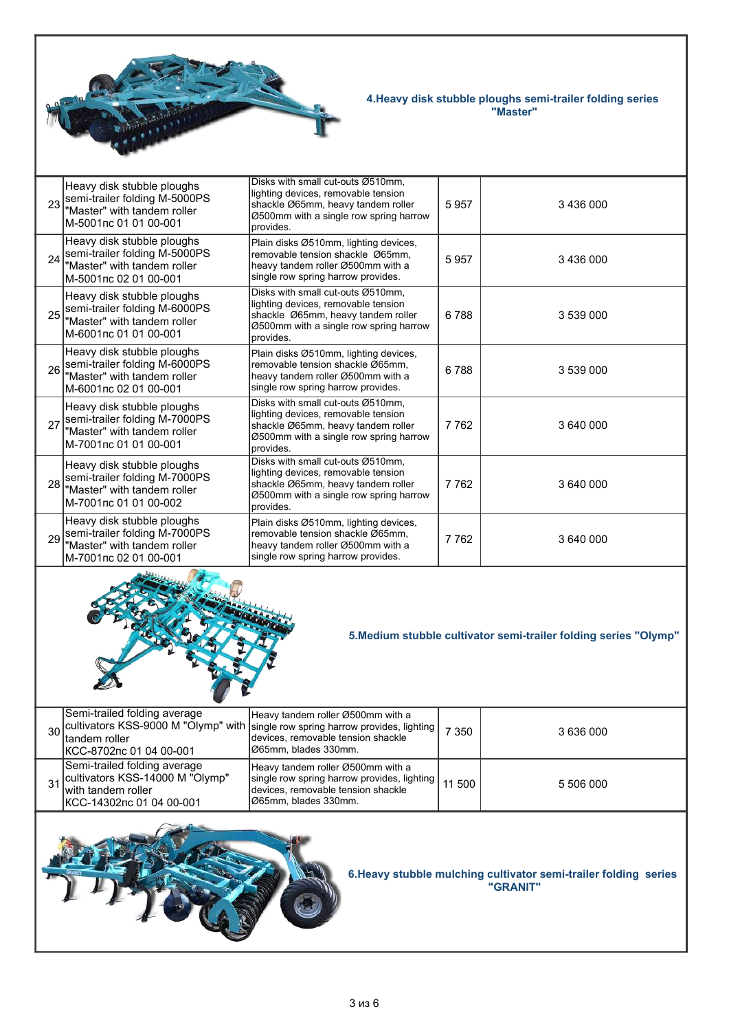

## *4.Heavy disk stubble ploughs semi-trailer folding series "Master"*

| 23                                                                           | Heavy disk stubble ploughs<br>semi-trailer folding M-5000PS<br>"Master" with tandem roller<br>M-5001nc 01 01 00-001 | Disks with small cut-outs Ø510mm,<br>lighting devices, removable tension<br>shackle Ø65mm, heavy tandem roller<br>Ø500mm with a single row spring harrow<br>provides. | 5957    | 3 436 000 |
|------------------------------------------------------------------------------|---------------------------------------------------------------------------------------------------------------------|-----------------------------------------------------------------------------------------------------------------------------------------------------------------------|---------|-----------|
| 24                                                                           | Heavy disk stubble ploughs<br>semi-trailer folding M-5000PS<br>"Master" with tandem roller<br>M-5001nc 02 01 00-001 | Plain disks Ø510mm, lighting devices,<br>removable tension shackle Ø65mm,<br>heavy tandem roller Ø500mm with a<br>single row spring harrow provides.                  | 5957    | 3 436 000 |
| 25                                                                           | Heavy disk stubble ploughs<br>semi-trailer folding M-6000PS<br>"Master" with tandem roller<br>M-6001nc 01 01 00-001 | Disks with small cut-outs Ø510mm,<br>lighting devices, removable tension<br>shackle Ø65mm, heavy tandem roller<br>Ø500mm with a single row spring harrow<br>provides. | 6788    | 3 539 000 |
| 26                                                                           | Heavy disk stubble ploughs<br>semi-trailer folding M-6000PS<br>"Master" with tandem roller<br>M-6001nc 02 01 00-001 | Plain disks Ø510mm, lighting devices,<br>removable tension shackle Ø65mm,<br>heavy tandem roller Ø500mm with a<br>single row spring harrow provides.                  | 6788    | 3 539 000 |
| 27                                                                           | Heavy disk stubble ploughs<br>semi-trailer folding M-7000PS<br>"Master" with tandem roller<br>M-7001nc 01 01 00-001 | Disks with small cut-outs Ø510mm,<br>lighting devices, removable tension<br>shackle Ø65mm, heavy tandem roller<br>Ø500mm with a single row spring harrow<br>provides. | 7762    | 3 640 000 |
| 28                                                                           | Heavy disk stubble ploughs<br>semi-trailer folding M-7000PS<br>"Master" with tandem roller<br>M-7001nc 01 01 00-002 | Disks with small cut-outs Ø510mm,<br>lighting devices, removable tension<br>shackle Ø65mm, heavy tandem roller<br>Ø500mm with a single row spring harrow<br>provides. | 7762    | 3 640 000 |
| 29                                                                           | Heavy disk stubble ploughs<br>semi-trailer folding M-7000PS<br>"Master" with tandem roller<br>M-7001nc 02 01 00-001 | Plain disks Ø510mm, lighting devices,<br>removable tension shackle Ø65mm,<br>heavy tandem roller Ø500mm with a<br>single row spring harrow provides.                  | 7762    | 3 640 000 |
| 5. Medium stubble cultivator semi-trailer folding series "Olymp"             |                                                                                                                     |                                                                                                                                                                       |         |           |
| 30                                                                           | Semi-trailed folding average<br>cultivators KSS-9000 M "Olymp" with<br>tandem roller<br>KCC-8702nc 01 04 00-001     | Heavy tandem roller Ø500mm with a<br>single row spring harrow provides, lighting<br>devices, removable tension shackle<br>Ø65mm, blades 330mm.                        | 7 3 5 0 | 3 636 000 |
| 31                                                                           | Semi-trailed folding average<br>cultivators KSS-14000 M "Olymp"<br>with tandem roller<br>KCC-14302nc 01 04 00-001   | Heavy tandem roller Ø500mm with a<br>single row spring harrow provides, lighting<br>devices, removable tension shackle<br>Ø65mm, blades 330mm.                        | 11 500  | 5 506 000 |
| 6. Heavy stubble mulching cultivator semi-trailer folding series<br>"GRANIT" |                                                                                                                     |                                                                                                                                                                       |         |           |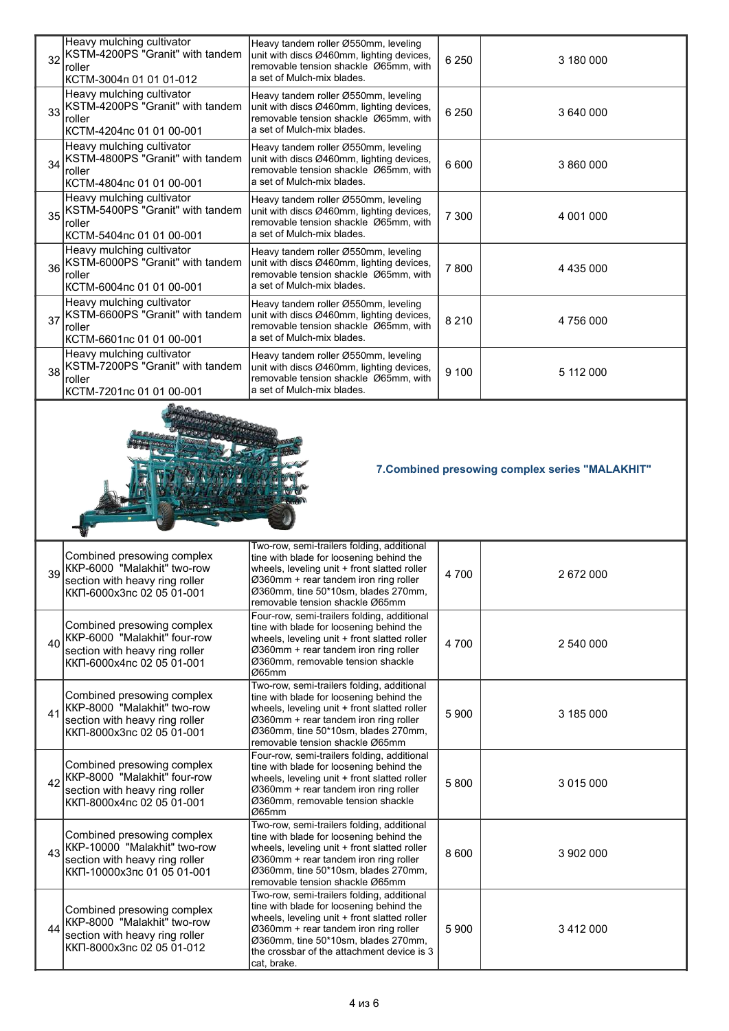| 32 | Heavy mulching cultivator<br>KSTM-4200PS "Granit" with tandem<br>roller<br>КСТМ-3004п 01 01 01-012                         | Heavy tandem roller Ø550mm, leveling<br>unit with discs Ø460mm, lighting devices,<br>removable tension shackle Ø65mm, with<br>a set of Mulch-mix blades.                                                                                                                            | 6 2 5 0 | 3 180 000     |  |
|----|----------------------------------------------------------------------------------------------------------------------------|-------------------------------------------------------------------------------------------------------------------------------------------------------------------------------------------------------------------------------------------------------------------------------------|---------|---------------|--|
| 33 | Heavy mulching cultivator<br>KSTM-4200PS "Granit" with tandem<br>roller<br>КСТМ-4204пс 01 01 00-001                        | Heavy tandem roller Ø550mm, leveling<br>unit with discs Ø460mm, lighting devices,<br>removable tension shackle Ø65mm, with<br>a set of Mulch-mix blades.                                                                                                                            | 6 2 5 0 | 3 640 000     |  |
| 34 | Heavy mulching cultivator<br>KSTM-4800PS "Granit" with tandem<br>roller<br>КСТМ-4804пс 01 01 00-001                        | Heavy tandem roller Ø550mm, leveling<br>unit with discs Ø460mm, lighting devices,<br>removable tension shackle Ø65mm, with<br>a set of Mulch-mix blades.                                                                                                                            | 6 600   | 3 860 000     |  |
| 35 | Heavy mulching cultivator<br>KSTM-5400PS "Granit" with tandem<br>roller<br>КСТМ-5404пс 01 01 00-001                        | Heavy tandem roller Ø550mm, leveling<br>unit with discs Ø460mm, lighting devices,<br>removable tension shackle Ø65mm, with<br>a set of Mulch-mix blades.                                                                                                                            | 7 300   | 4 001 000     |  |
| 36 | Heavy mulching cultivator<br>KSTM-6000PS "Granit" with tandem<br>roller<br>КСТМ-6004пс 01 01 00-001                        | Heavy tandem roller Ø550mm, leveling<br>unit with discs Ø460mm, lighting devices,<br>removable tension shackle Ø65mm, with<br>a set of Mulch-mix blades.                                                                                                                            | 7800    | 4 4 3 5 0 0 0 |  |
| 37 | Heavy mulching cultivator<br>KSTM-6600PS "Granit" with tandem<br>roller<br>КСТМ-6601пс 01 01 00-001                        | Heavy tandem roller Ø550mm, leveling<br>unit with discs Ø460mm, lighting devices,<br>removable tension shackle Ø65mm, with<br>a set of Mulch-mix blades.                                                                                                                            | 8 2 1 0 | 4 756 000     |  |
| 38 | Heavy mulching cultivator<br>KSTM-7200PS "Granit" with tandem<br>roller<br>КСТМ-7201пс 01 01 00-001                        | Heavy tandem roller Ø550mm, leveling<br>unit with discs Ø460mm, lighting devices,<br>removable tension shackle Ø65mm, with<br>a set of Mulch-mix blades.                                                                                                                            | 9 100   | 5 112 000     |  |
|    | 7. Combined presowing complex series "MALAKHIT"                                                                            |                                                                                                                                                                                                                                                                                     |         |               |  |
| 39 | Combined presowing complex<br>KKP-6000 "Malakhit" two-row<br>section with heavy ring roller<br>ККП-6000х3пс 02 05 01-001   | Two-row, semi-trailers folding, additional<br>tine with blade for loosening behind the<br>wheels, leveling unit + front slatted roller<br>Ø360mm + rear tandem iron ring roller<br>Ø360mm, tine 50*10sm, blades 270mm,                                                              | 4700    | 2 672 000     |  |
| 40 | Combined presowing complex<br>KKP-6000 "Malakhit" four-row<br>section with heavy ring roller<br>ККП-6000х4пс 02 05 01-001  | removable tension shackle Ø65mm<br>Four-row, semi-trailers folding, additional<br>tine with blade for loosening behind the<br>wheels, leveling unit + front slatted roller<br>Ø360mm + rear tandem iron ring roller<br>Ø360mm, removable tension shackle<br>Ø65mm                   | 4 700   | 2 540 000     |  |
| 41 | Combined presowing complex<br>KKP-8000 "Malakhit" two-row<br>section with heavy ring roller<br>ККП-8000х3пс 02 05 01-001   | Two-row, semi-trailers folding, additional<br>tine with blade for loosening behind the<br>wheels, leveling unit + front slatted roller<br>Ø360mm + rear tandem iron ring roller<br>Ø360mm, tine 50*10sm, blades 270mm,<br>removable tension shackle Ø65mm                           | 5 9 0 0 | 3 185 000     |  |
| 42 | Combined presowing complex<br>KKP-8000 "Malakhit" four-row<br>section with heavy ring roller<br>ККП-8000х4пс 02 05 01-001  | Four-row, semi-trailers folding, additional<br>tine with blade for loosening behind the<br>wheels, leveling unit + front slatted roller<br>Ø360mm + rear tandem iron ring roller<br>Ø360mm, removable tension shackle<br>Ø65mm                                                      | 5 8 0 0 | 3 015 000     |  |
| 43 | Combined presowing complex<br>KKP-10000 "Malakhit" two-row<br>section with heavy ring roller<br>ККП-10000х3пс 01 05 01-001 | Two-row, semi-trailers folding, additional<br>tine with blade for loosening behind the<br>wheels, leveling unit + front slatted roller<br>Ø360mm + rear tandem iron ring roller<br>Ø360mm, tine 50*10sm, blades 270mm,<br>removable tension shackle Ø65mm                           | 8 6 0 0 | 3 902 000     |  |
| 44 | Combined presowing complex<br>KKP-8000 "Malakhit" two-row<br>section with heavy ring roller<br>ККП-8000х3пс 02 05 01-012   | Two-row, semi-trailers folding, additional<br>tine with blade for loosening behind the<br>wheels, leveling unit + front slatted roller<br>Ø360mm + rear tandem iron ring roller<br>Ø360mm, tine 50*10sm, blades 270mm,<br>the crossbar of the attachment device is 3<br>cat, brake. | 5 9 0 0 | 3 412 000     |  |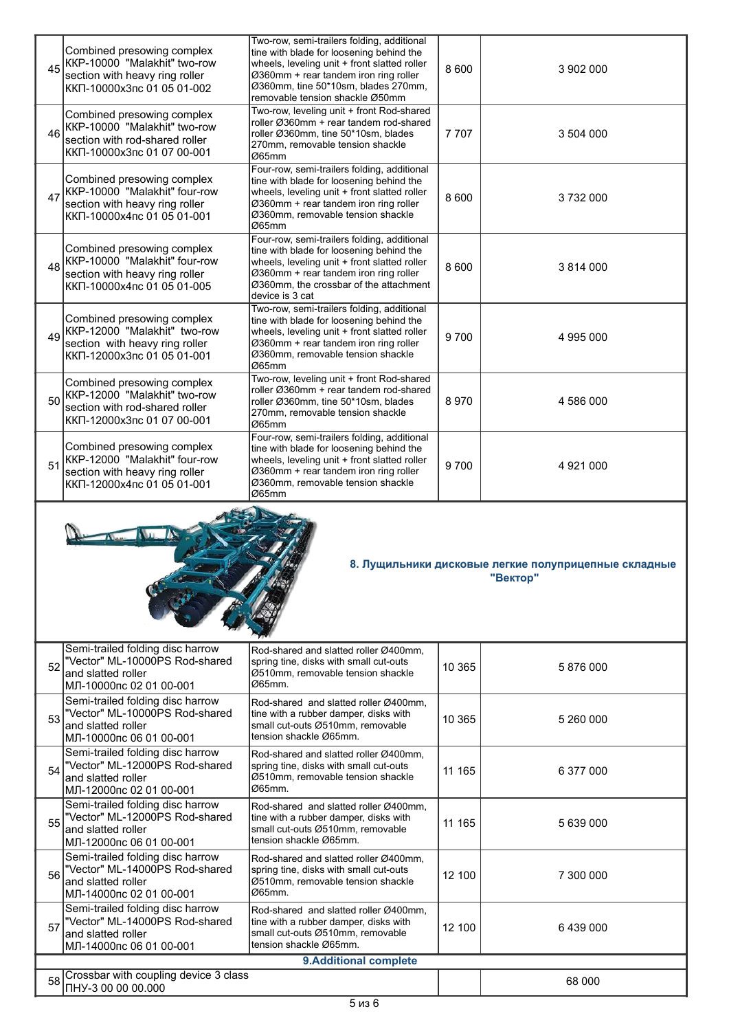| 45 | Combined presowing complex<br>KKP-10000 "Malakhit" two-row<br>section with heavy ring roller<br>ККП-10000х3пс 01 05 01-002  | Two-row, semi-trailers folding, additional<br>tine with blade for loosening behind the<br>wheels, leveling unit + front slatted roller<br>Ø360mm + rear tandem iron ring roller<br>Ø360mm, tine 50*10sm, blades 270mm,<br>removable tension shackle Ø50mm | 8 600   | 3 902 000 |  |  |
|----|-----------------------------------------------------------------------------------------------------------------------------|-----------------------------------------------------------------------------------------------------------------------------------------------------------------------------------------------------------------------------------------------------------|---------|-----------|--|--|
| 46 | Combined presowing complex<br>KKP-10000 "Malakhit" two-row<br>section with rod-shared roller<br>ККП-10000х3пс 01 07 00-001  | Two-row, leveling unit + front Rod-shared<br>roller Ø360mm + rear tandem rod-shared<br>roller Ø360mm, tine 50*10sm, blades<br>270mm, removable tension shackle<br>Ø65mm                                                                                   | 7 7 0 7 | 3 504 000 |  |  |
| 47 | Combined presowing complex<br>KKP-10000 "Malakhit" four-row<br>section with heavy ring roller<br>ККП-10000х4пс 01 05 01-001 | Four-row, semi-trailers folding, additional<br>tine with blade for loosening behind the<br>wheels, leveling unit + front slatted roller<br>Ø360mm + rear tandem iron ring roller<br>Ø360mm, removable tension shackle<br>Ø65mm                            | 8 600   | 3732000   |  |  |
| 48 | Combined presowing complex<br>KKP-10000 "Malakhit" four-row<br>section with heavy ring roller<br>ККП-10000х4пс 01 05 01-005 | Four-row, semi-trailers folding, additional<br>tine with blade for loosening behind the<br>wheels, leveling unit + front slatted roller<br>Ø360mm + rear tandem iron ring roller<br>Ø360mm, the crossbar of the attachment<br>device is 3 cat             | 8 600   | 3 814 000 |  |  |
| 49 | Combined presowing complex<br>KKP-12000 "Malakhit" two-row<br>section with heavy ring roller<br>ККП-12000х3пс 01 05 01-001  | Two-row, semi-trailers folding, additional<br>tine with blade for loosening behind the<br>wheels, leveling unit + front slatted roller<br>Ø360mm + rear tandem iron ring roller<br>Ø360mm, removable tension shackle<br>Ø65mm                             | 9700    | 4 995 000 |  |  |
| 50 | Combined presowing complex<br>KKP-12000 "Malakhit" two-row<br>section with rod-shared roller<br>ККП-12000х3пс 01 07 00-001  | Two-row, leveling unit + front Rod-shared<br>roller Ø360mm + rear tandem rod-shared<br>roller Ø360mm, tine 50*10sm, blades<br>270mm, removable tension shackle<br>Ø65mm                                                                                   | 8970    | 4 586 000 |  |  |
| 51 | Combined presowing complex<br>KKP-12000 "Malakhit" four-row<br>section with heavy ring roller<br>ККП-12000х4пс 01 05 01-001 | Four-row, semi-trailers folding, additional<br>tine with blade for loosening behind the<br>wheels, leveling unit + front slatted roller<br>Ø360mm + rear tandem iron ring roller<br>Ø360mm, removable tension shackle<br>Ø65mm                            | 9700    | 4 921 000 |  |  |
|    | 8. Лущильники дисковые легкие полуприцепные складные<br>"Вектор"                                                            |                                                                                                                                                                                                                                                           |         |           |  |  |
| 52 | Semi-trailed folding disc harrow<br>"Vector" ML-10000PS Rod-shared<br>and slatted roller<br>МЛ-10000пс 02 01 00-001         | Rod-shared and slatted roller Ø400mm,<br>spring tine, disks with small cut-outs<br>Ø510mm. removable tension shackle<br>Ø65mm                                                                                                                             | 10 365  | 5876000   |  |  |
| 53 | Semi-trailed folding disc harrow<br>"Vector" ML-10000PS Rod-shared<br>and slatted roller<br>МЛ-10000пс 06 01 00-001         | Rod-shared and slatted roller Ø400mm,<br>tine with a rubber damper, disks with<br>small cut-outs Ø510mm, removable<br>tension shackle Ø65mm.                                                                                                              | 10 365  | 5 260 000 |  |  |
| 54 |                                                                                                                             |                                                                                                                                                                                                                                                           |         |           |  |  |
|    | Semi-trailed folding disc harrow<br>"Vector" ML-12000PS Rod-shared<br>and slatted roller<br>МЛ-12000пс 02 01 00-001         | Rod-shared and slatted roller Ø400mm.<br>spring tine, disks with small cut-outs<br>Ø510mm, removable tension shackle<br>Ø65mm.                                                                                                                            | 11 165  | 6 377 000 |  |  |
| 55 | Semi-trailed folding disc harrow<br>"Vector" ML-12000PS Rod-shared<br>and slatted roller<br>МЛ-12000пс 06 01 00-001         | Rod-shared and slatted roller Ø400mm,<br>tine with a rubber damper, disks with<br>small cut-outs Ø510mm, removable<br>tension shackle Ø65mm.                                                                                                              | 11 165  | 5 639 000 |  |  |
| 56 | Semi-trailed folding disc harrow<br>"Vector" ML-14000PS Rod-shared<br>and slatted roller<br>МЛ-14000пс 02 01 00-001         | Rod-shared and slatted roller Ø400mm,<br>spring tine, disks with small cut-outs<br>Ø510mm, removable tension shackle<br>Ø65mm.                                                                                                                            | 12 100  | 7 300 000 |  |  |
| 57 | Semi-trailed folding disc harrow<br>"Vector" ML-14000PS Rod-shared<br>and slatted roller<br>МЛ-14000пс 06 01 00-001         | Rod-shared and slatted roller Ø400mm,<br>tine with a rubber damper, disks with<br>small cut-outs Ø510mm, removable<br>tension shackle Ø65mm.                                                                                                              | 12 100  | 6439000   |  |  |
|    | Crossbar with coupling device 3 class                                                                                       | 9. Additional complete                                                                                                                                                                                                                                    |         |           |  |  |